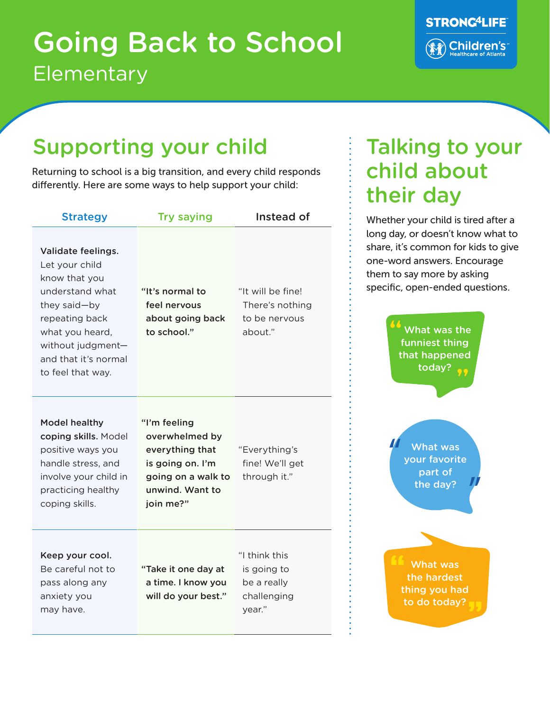## **Elementary** Going Back to School



#### Supporting your child **Talking to your**

Returning to school is a big transition, and every child responds differently. Here are some ways to help support your child:

| <b>Strategy</b>                                                                                                                                                                                 | <b>Try saying</b>                                                                                                           | Instead of                                                           |
|-------------------------------------------------------------------------------------------------------------------------------------------------------------------------------------------------|-----------------------------------------------------------------------------------------------------------------------------|----------------------------------------------------------------------|
| Validate feelings.<br>Let your child<br>know that you<br>understand what<br>they said-by<br>repeating back<br>what you heard,<br>without judgment-<br>and that it's normal<br>to feel that way. | "It's normal to<br>feel nervous<br>about going back<br>to school."                                                          | "It will be fine!<br>There's nothing<br>to be nervous<br>about."     |
| <b>Model healthy</b><br>coping skills. Model<br>positive ways you<br>handle stress, and<br>involve your child in<br>practicing healthy<br>coping skills.                                        | "I'm feeling<br>overwhelmed by<br>everything that<br>is going on. I'm<br>going on a walk to<br>unwind. Want to<br>join me?" | "Everything's<br>fine! We'll get<br>through it."                     |
| Keep your cool.<br>Be careful not to<br>pass along any<br>anxiety you<br>may have.                                                                                                              | "Take it one day at<br>a time. I know you<br>will do your best."                                                            | "I think this<br>is going to<br>be a really<br>challenging<br>year." |

# child about their day

Whether your child is tired after a long day, or doesn't know what to share, it's common for kids to give one-word answers. Encourage them to say more by asking specific, open-ended questions.

> What was the funniest thing that happened today?

What was your favorite part of the day?

What was the hardest thing you had to do today?